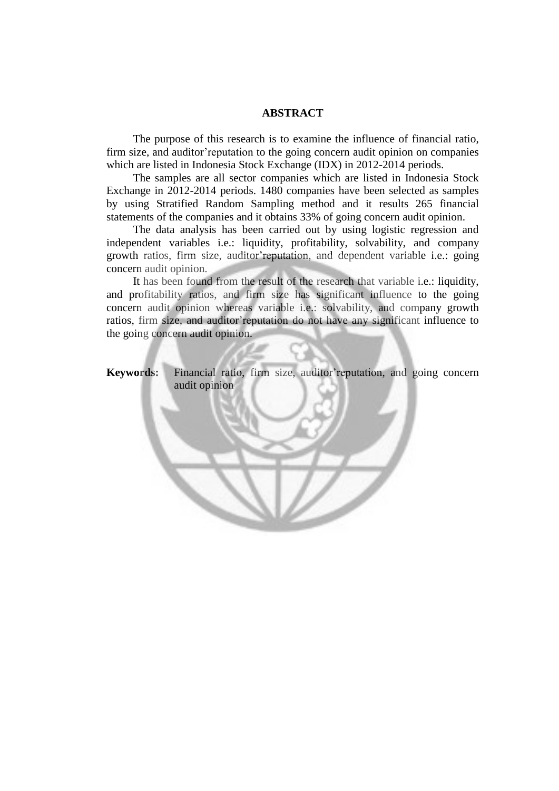## **ABSTRACT**

The purpose of this research is to examine the influence of financial ratio, firm size, and auditor'reputation to the going concern audit opinion on companies which are listed in Indonesia Stock Exchange (IDX) in 2012-2014 periods.

The samples are all sector companies which are listed in Indonesia Stock Exchange in 2012-2014 periods. 1480 companies have been selected as samples by using Stratified Random Sampling method and it results 265 financial statements of the companies and it obtains 33% of going concern audit opinion.

The data analysis has been carried out by using logistic regression and independent variables i.e.: liquidity, profitability, solvability, and company growth ratios, firm size, auditor'reputation, and dependent variable i.e.: going concern audit opinion.

It has been found from the result of the research that variable i.e.: liquidity, and profitability ratios, and firm size has significant influence to the going concern audit opinion whereas variable i.e.: solvability, and company growth ratios, firm size, and auditor'reputation do not have any significant influence to the going concern audit opinion.

**Keywords:** Financial ratio, firm size, auditor'reputation, and going concern audit opinion